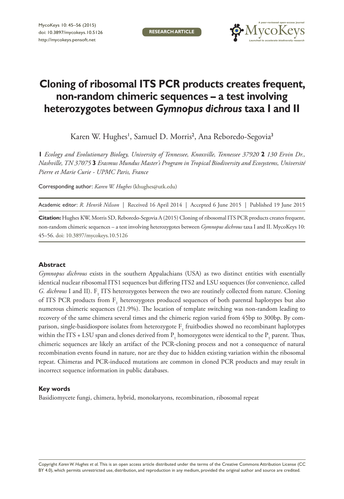**RESEARCH ARTICLE**



# **Cloning of ribosomal ITS PCR products creates frequent, non-random chimeric sequences – a test involving heterozygotes between** *Gymnopus dichrous* **taxa I and II**

Karen W. Hughes', Samuel D. Morris<sup>2</sup>, Ana Reboredo-Segovia<sup>3</sup>

**1** *Ecology and Evolutionary Biology, University of Tennessee, Knoxville, Tennessee 37920* **2** *130 Ervin Dr., Nashville, TN 37075* **3** *Erasmus Mundus Master's Program in Tropical Biodiversity and Ecosystems, Université Pierre et Marie Curie - UPMC Paris, France*

Corresponding author: *Karen W. Hughes* ([khughes@utk.edu](mailto:khughes@utk.edu))

Academic editor: *R. Henrik Nilsson* | Received 16 April 2014 | Accepted 6 June 2015 | Published 19 June 2015

**Citation:** Hughes KW, Morris SD, Reboredo-Segovia A (2015) Cloning of ribosomal ITS PCR products creates frequent, non-random chimeric sequences – a test involving heterozygotes between *Gymnopus dichrous* taxa I and II. MycoKeys 10: 45–56. [doi: 10.3897/mycokeys.10.5126](http://dx.doi.org/10.3897/mycokeys.10.5136)

#### **Abstract**

*Gymnopus dichrous* exists in the southern Appalachians (USA) as two distinct entities with essentially identical nuclear ribosomal ITS1 sequences but differing ITS2 and LSU sequences (for convenience, called *G. dichrous* I and II). F<sub>1</sub> ITS heterozygotes between the two are routinely collected from nature. Cloning of ITS PCR products from  $F_1$  heterozygotes produced sequences of both parental haplotypes but also numerous chimeric sequences (21.9%). The location of template switching was non-random leading to recovery of the same chimera several times and the chimeric region varied from 45bp to 300bp. By comparison, single-basidiospore isolates from heterozygote  $\mathrm{F}_1$  fruitbodies showed no recombinant haplotypes within the ITS + LSU span and clones derived from  $P_1$  homozygotes were identical to the  $P_1$  parent. Thus, chimeric sequences are likely an artifact of the PCR-cloning process and not a consequence of natural recombination events found in nature, nor are they due to hidden existing variation within the ribosomal repeat. Chimeras and PCR-induced mutations are common in cloned PCR products and may result in incorrect sequence information in public databases.

#### **Key words**

Basidiomycete fungi, chimera, hybrid, monokaryons, recombination, ribosomal repeat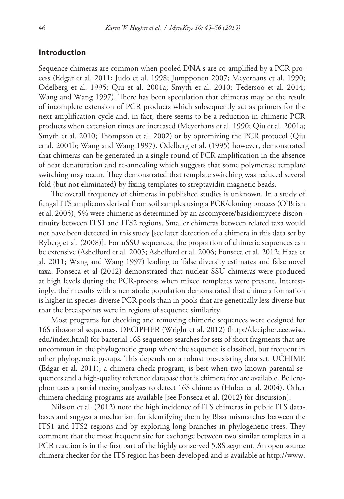### **Introduction**

Sequence chimeras are common when pooled DNA s are co-amplified by a PCR process (Edgar et al. 2011; Judo et al. 1998; Jumpponen 2007; Meyerhans et al. 1990; Odelberg et al. 1995; Qiu et al. 2001a; Smyth et al. 2010; Tedersoo et al. 2014; Wang and Wang 1997). There has been speculation that chimeras may be the result of incomplete extension of PCR products which subsequently act as primers for the next amplification cycle and, in fact, there seems to be a reduction in chimeric PCR products when extension times are increased (Meyerhans et al. 1990; Qiu et al. 2001a; Smyth et al. 2010; Thompson et al. 2002) or by optomizing the PCR protocol (Qiu et al. 2001b; Wang and Wang 1997). Odelberg et al. (1995) however, demonstrated that chimeras can be generated in a single round of PCR amplification in the absence of heat denaturation and re-annealing which suggests that some polymerase template switching may occur. They demonstrated that template switching was reduced several fold (but not eliminated) by fixing templates to streptavidin magnetic beads.

The overall frequency of chimeras in published studies is unknown. In a study of fungal ITS amplicons derived from soil samples using a PCR/cloning process (O'Brian et al. 2005), 5% were chimeric as determined by an ascomycete/basidiomycete discontinuity between ITS1 and ITS2 regions. Smaller chimeras between related taxa would not have been detected in this study [see later detection of a chimera in this data set by Ryberg et al. (2008)]. For nSSU sequences, the proportion of chimeric sequences can be extensive (Ashelford et al. 2005; Ashelford et al. 2006; Fonseca et al. 2012; Haas et al. 2011; Wang and Wang 1997) leading to 'false diversity estimates and false novel taxa. Fonseca et al (2012) demonstrated that nuclear SSU chimeras were produced at high levels during the PCR-process when mixed templates were present. Interestingly, their results with a nematode population demonstrated that chimera formation is higher in species-diverse PCR pools than in pools that are genetically less diverse but that the breakpoints were in regions of sequence similarity.

Most programs for checking and removing chimeric sequences were designed for 16S ribosomal sequences. DECIPHER (Wright et al. 2012) ([http://decipher.cee.wisc.](http://decipher.cee.wisc.edu/index.html) [edu/index.html](http://decipher.cee.wisc.edu/index.html)) for bacterial 16S sequences searches for sets of short fragments that are uncommon in the phylogenetic group where the sequence is classified, but frequent in other phylogenetic groups. This depends on a robust pre-existing data set. UCHIME (Edgar et al. 2011), a chimera check program, is best when two known parental sequences and a high-quality reference database that is chimera free are available. Bellerophon uses a partial treeing analyses to detect 16S chimeras (Huber et al. 2004). Other chimera checking programs are available [see Fonseca et al. (2012) for discussion].

Nilsson et al. (2012) note the high incidence of ITS chimeras in public ITS databases and suggest a mechanism for identifying them by Blast mismatches between the ITS1 and ITS2 regions and by exploring long branches in phylogenetic trees. They comment that the most frequent site for exchange between two similar templates in a PCR reaction is in the first part of the highly conserved 5.8S segment. An open source chimera checker for the ITS region has been developed and is available at [http://www.](http://www.emerencia.org/chimerachecker.html)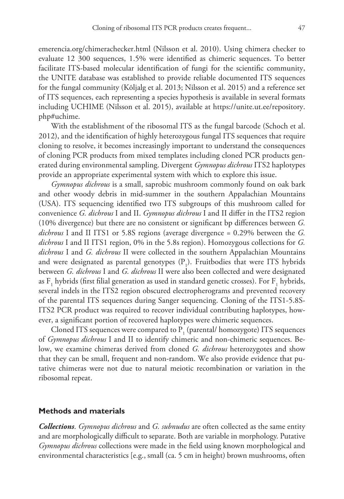[emerencia.org/chimerachecker.html](http://www.emerencia.org/chimerachecker.html) (Nilsson et al. 2010). Using chimera checker to evaluate 12 300 sequences, 1.5% were identified as chimeric sequences. To better facilitate ITS-based molecular identification of fungi for the scientific community, the UNITE database was established to provide reliable documented ITS sequences for the fungal community (Kõljalg et al. 2013; Nilsson et al. 2015) and a reference set of ITS sequences, each representing a species hypothesis is available in several formats including UCHIME (Nilsson et al. 2015), available at [https://unite.ut.ee/repository.](https://unite.ut.ee/repository.php#uchime) [php#uchime](https://unite.ut.ee/repository.php#uchime).

With the establishment of the ribosomal ITS as the fungal barcode (Schoch et al. 2012), and the identification of highly heterozygous fungal ITS sequences that require cloning to resolve, it becomes increasingly important to understand the consequences of cloning PCR products from mixed templates including cloned PCR products generated during environmental sampling. Divergent *Gymnopus dichrous* ITS2 haplotypes provide an appropriate experimental system with which to explore this issue.

*Gymnopus dichrous* is a small, saprobic mushroom commonly found on oak bark and other woody debris in mid-summer in the southern Appalachian Mountains (USA). ITS sequencing identified two ITS subgroups of this mushroom called for convenience *G. dichrous* I and II. *Gymnopus dichrous* I and II differ in the ITS2 region (10% divergence) but there are no consistent or significant bp differences between *G. dichrous* I and II ITS1 or 5.8S regions (average divergence = 0.29% between the *G. dichrous* I and II ITS1 region, 0% in the 5.8s region). Homozygous collections for *G. dichrous* I and *G. dichrous* II were collected in the southern Appalachian Mountains and were designated as parental genotypes  $(P_1)$ . Fruitbodies that were ITS hybrids between *G. dichrous* I and *G. dichrous* II were also been collected and were designated as  $F_1$  hybrids (first filial generation as used in standard genetic crosses). For  $F_1$  hybrids, several indels in the ITS2 region obscured electropherograms and prevented recovery of the parental ITS sequences during Sanger sequencing. Cloning of the ITS1-5.8S-ITS2 PCR product was required to recover individual contributing haplotypes, however, a significant portion of recovered haplotypes were chimeric sequences.

Cloned ITS sequences were compared to  $P_1$  (parental/ homozygote) ITS sequences of *Gymnopus dichrous* I and II to identify chimeric and non-chimeric sequences. Below, we examine chimeras derived from cloned *G. dichrous* heterozygotes and show that they can be small, frequent and non-random. We also provide evidence that putative chimeras were not due to natural meiotic recombination or variation in the ribosomal repeat.

#### **Methods and materials**

*Collections*. *Gymnopus dichrous* and *G. subnudus* are often collected as the same entity and are morphologically difficult to separate. Both are variable in morphology. Putative *Gymnopus dichrous* collections were made in the field using known morphological and environmental characteristics [e.g., small (ca. 5 cm in height) brown mushrooms, often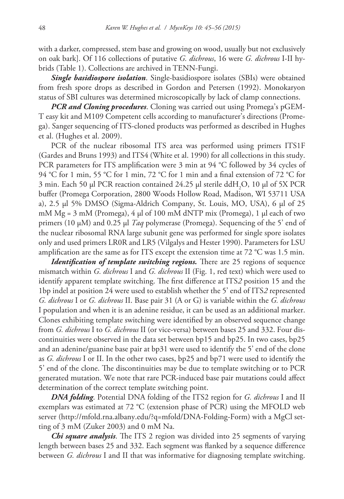with a darker, compressed, stem base and growing on wood, usually but not exclusively on oak bark]. Of 116 collections of putative *G. dichrous*, 16 were *G. dichrous* I-II hybrids (Table 1). Collections are archived in TENN-Fungi.

*Single basidiospore isolation*. Single-basidiospore isolates (SBIs) were obtained from fresh spore drops as described in Gordon and Petersen (1992). Monokaryon status of SBI cultures was determined microscopically by lack of clamp connections.

*PCR and Cloning procedures*. Cloning was carried out using Promega's pGEM-T easy kit and M109 Competent cells according to manufacturer's directions (Promega). Sanger sequencing of ITS-cloned products was performed as described in Hughes et al. (Hughes et al. 2009).

PCR of the nuclear ribosomal ITS area was performed using primers ITS1F (Gardes and Bruns 1993) and ITS4 (White et al. 1990) for all collections in this study. PCR parameters for ITS amplification were 3 min at 94 °C followed by 34 cycles of 94 °C for 1 min, 55 °C for 1 min, 72 °C for 1 min and a final extension of 72 °C for  $3 \text{ min.}$  Each 50  $\mu$ l PCR reaction contained 24.25  $\mu$ l sterile ddH<sub>2</sub>O, 10  $\mu$ l of 5X PCR buffer (Promega Corporation, 2800 Woods Hollow Road, Madison, WI 53711 USA a), 2.5 µl 5% DMSO (Sigma-Aldrich Company, St. Louis, MO, USA), 6 µl of 25 mM  $Mg = 3$  mM (Promega), 4 µ of 100 mM dNTP mix (Promega), 1 µ each of two primers (10 µM) and 0.25 µl *Taq* polymerase (Promega). Sequencing of the 5' end of the nuclear ribosomal RNA large subunit gene was performed for single spore isolates only and used primers LR0R and LR5 (Vilgalys and Hester 1990). Parameters for LSU amplification are the same as for ITS except the extension time at 72 °C was 1.5 min.

*Identification of template switching regions*. There are 25 regions of sequence mismatch within *G. dichrous* I and *G. dichrous* II (Fig. 1, red text) which were used to identify apparent template switching. The first difference at ITS*2* position 15 and the 1bp indel at position 24 were used to establish whether the 5' end of ITS*2* represented *G. dichrous* I or *G. dichrous* II. Base pair 31 (A or G) is variable within the *G. dichrous* I population and when it is an adenine residue, it can be used as an additional marker. Clones exhibiting template switching were identified by an observed sequence change from *G. dichrous* I to *G. dichrous* II (or vice-versa) between bases 25 and 332. Four discontinuities were observed in the data set between bp15 and bp25. In two cases, bp25 and an adenine/guanine base pair at bp31 were used to identify the 5' end of the clone as *G. dichrous* I or II. In the other two cases, bp25 and bp71 were used to identify the 5' end of the clone. The discontinuities may be due to template switching or to PCR generated mutation. We note that rare PCR-induced base pair mutations could affect determination of the correct template switching point.

*DNA folding*. Potential DNA folding of the ITS2 region for *G. dichrous* I and II exemplars was estimated at 72 °C (extension phase of PCR) using the MFOLD web server [\(http://mfold.rna.albany.edu/?q=mfold/DNA-Folding-Form\)](http://mfold.rna.albany.edu/?q=mfold/DNA-Folding-Form) with a MgCl setting of 3 mM (Zuker 2003) and 0 mM Na.

*Chi square analysis*. The ITS 2 region was divided into 25 segments of varying length between bases 25 and 332. Each segment was flanked by a sequence difference between *G. dichrous* I and II that was informative for diagnosing template switching.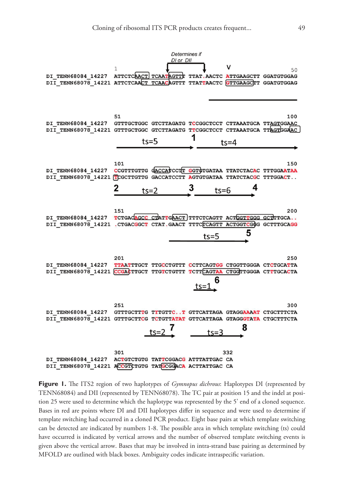

**Figure 1.** The ITS2 region of two haplotypes of *Gymnopus dichrous*: Haplotypes DI (represented by TENN68084) and DII (represented by TENN68078). The TC pair at position 15 and the indel at position 25 were used to determine which the haplotype was represented by the 5' end of a cloned sequence. Bases in red are points where DI and DII haplotypes differ in sequence and were used to determine if template switching had occurred in a cloned PCR product. Eight base pairs at which template switching can be detected are indicated by numbers 1-8. The possible area in which template switching (ts) could have occurred is indicated by vertical arrows and the number of observed template switching events is given above the vertical arrow. Bases that may be involved in intra-strand base pairing as determined by MFOLD are outlined with black boxes. Ambiguity codes indicate intraspecific variation.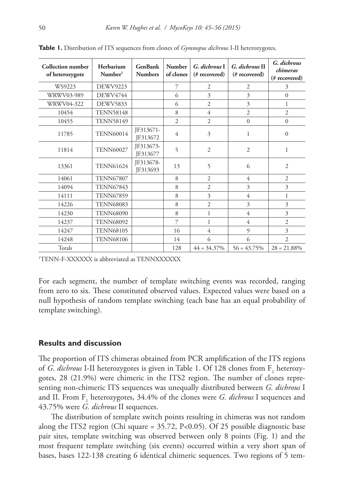| <b>Collection number</b><br>of heterozygote | Herbarium<br>Number <sup>1</sup> | <b>GenBank</b><br><b>Numbers</b> | <b>Number</b><br>of clones | G. dichrous I<br>(# recovered) | G. dichrous II<br>(# recovered) | G. dichrous<br>chimeras<br>(# recovered) |
|---------------------------------------------|----------------------------------|----------------------------------|----------------------------|--------------------------------|---------------------------------|------------------------------------------|
| WS9223                                      | DEWV9223                         |                                  | 7                          | $\overline{2}$                 | 2                               | 3                                        |
| WRWV03-989                                  | <b>DEWV4744</b>                  |                                  | 6                          | 3                              | 3                               | $\Omega$                                 |
| WRWV04-322                                  | <b>DEWV5833</b>                  |                                  | 6                          | $\overline{2}$                 | 3                               | 1                                        |
| 10454                                       | <b>TENN58148</b>                 |                                  | 8                          | 4                              | $\overline{2}$                  | $\overline{c}$                           |
| 10455                                       | <b>TENN58149</b>                 |                                  | $\overline{2}$             | $\overline{2}$                 | $\Omega$                        | $\mathbf{0}$                             |
| 11785                                       | <b>TENN60014</b>                 | IF313671-<br>JF313672            | 4                          | 3                              | $\mathbf{1}$                    | $\theta$                                 |
| 11814                                       | <b>TENN60027</b>                 | JF313673-<br>JF313677            | 5                          | $\overline{2}$                 | $\overline{2}$                  | $\mathbf{1}$                             |
| 13361                                       | <b>TENN61624</b>                 | JF313678-<br>JF313693            | 13                         | 5                              | 6                               | $\overline{2}$                           |
| 14061                                       | <b>TENN67807</b>                 |                                  | 8                          | $\overline{2}$                 | $\overline{4}$                  | $\overline{2}$                           |
| 14094                                       | <b>TENN67843</b>                 |                                  | 8                          | $\overline{2}$                 | 3                               | 3                                        |
| 14111                                       | <b>TENN67859</b>                 |                                  | 8                          | $\overline{\mathbf{3}}$        | $\overline{4}$                  | 1                                        |
| 14226                                       | <b>TENN68083</b>                 |                                  | 8                          | $\overline{2}$                 | 3                               | 3                                        |
| 14230                                       | <b>TENN68090</b>                 |                                  | 8                          | $\mathbf{1}$                   | 4                               | 3                                        |
| 14237                                       | <b>TENN68092</b>                 |                                  | 7                          | 1                              | $\overline{4}$                  | $\overline{2}$                           |
| 14247                                       | <b>TENN68105</b>                 |                                  | 16                         | $\overline{4}$                 | $\mathbf{Q}$                    | $\overline{\mathbf{3}}$                  |
| 14248                                       | <b>TENN68106</b>                 |                                  | 14                         | 6                              | 6                               | $\overline{2}$                           |
| Totals                                      |                                  |                                  | 128                        | $44 = 34.37\%$                 | $56 = 43.75\%$                  | $28 = 21.88\%$                           |

**Table 1.** Distribution of ITS sequences from clones of *Gymnopus dichrous* I-II heterozygotes.

1 TENN-F-XXXXXX is abbreviated as TENNXXXXXX

For each segment, the number of template switching events was recorded, ranging from zero to six. These constituted observed values. Expected values were based on a null hypothesis of random template switching (each base has an equal probability of template switching).

## **Results and discussion**

The proportion of ITS chimeras obtained from PCR amplification of the ITS regions of *G. dichrous* I-II heterozygotes is given in Table 1. Of 128 clones from F<sub>1</sub> heterozygotes, 28 (21.9%) were chimeric in the ITS2 region. The number of clones representing non-chimeric ITS sequences was unequally distributed between *G. dichrous* I and II. From F<sub>1</sub> heterozygotes, 34.4% of the clones were *G. dichrous* I sequences and 43.75% were *G. dichrous* II sequences.

The distribution of template switch points resulting in chimeras was not random along the ITS2 region (Chi square = 35.72, P<0.05). Of 25 possible diagnostic base pair sites, template switching was observed between only 8 points (Fig. 1) and the most frequent template switching (six events) occurred within a very short span of bases, bases 122-138 creating 6 identical chimeric sequences. Two regions of 5 tem-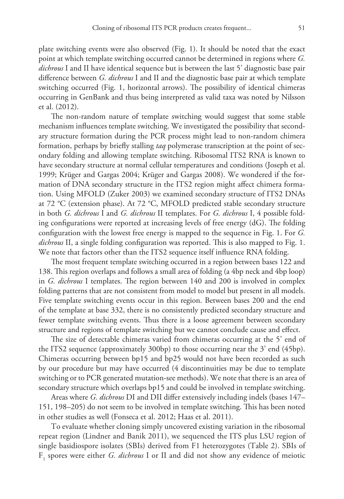plate switching events were also observed (Fig. 1). It should be noted that the exact point at which template switching occurred cannot be determined in regions where *G. dichrous* I and II have identical sequence but is between the last 5' diagnostic base pair difference between *G. dichrous* I and II and the diagnostic base pair at which template switching occurred (Fig. 1, horizontal arrows). The possibility of identical chimeras occurring in GenBank and thus being interpreted as valid taxa was noted by Nilsson et al. (2012).

The non-random nature of template switching would suggest that some stable mechanism influences template switching. We investigated the possibility that secondary structure formation during the PCR process might lead to non-random chimera formation, perhaps by briefly stalling *taq* polymerase transcription at the point of secondary folding and allowing template switching. Ribosomal ITS2 RNA is known to have secondary structure at normal cellular temperatures and conditions (Joseph et al. 1999; Krüger and Gargas 2004; Krüger and Gargas 2008). We wondered if the formation of DNA secondary structure in the ITS2 region might affect chimera formation. Using MFOLD (Zuker 2003) we examined secondary structure of ITS2 DNAs at 72 °C (extension phase). At 72 °C, MFOLD predicted stable secondary structure in both *G. dichrous* I and *G. dichrous* II templates. For *G. dichrous* I, 4 possible folding configurations were reported at increasing levels of free energy (dG). The folding configuration with the lowest free energy is mapped to the sequence in Fig. 1. For *G. dichrous* II, a single folding configuration was reported. This is also mapped to Fig. 1. We note that factors other than the ITS2 sequence itself influence RNA folding.

The most frequent template switching occurred in a region between bases 122 and 138. This region overlaps and follows a small area of folding (a 4bp neck and 4bp loop) in *G. dichrous* I templates. The region between 140 and 200 is involved in complex folding patterns that are not consistent from model to model but present in all models. Five template switching events occur in this region. Between bases 200 and the end of the template at base 332, there is no consistently predicted secondary structure and fewer template switching events. Thus there is a loose agreement between secondary structure and regions of template switching but we cannot conclude cause and effect.

The size of detectable chimeras varied from chimeras occurring at the 5' end of the ITS2 sequence (approximately 300bp) to those occurring near the 3' end (45bp). Chimeras occurring between bp15 and bp25 would not have been recorded as such by our procedure but may have occurred (4 discontinuities may be due to template switching or to PCR generated mutation-see methods). We note that there is an area of secondary structure which overlaps bp15 and could be involved in template switching.

Areas where *G. dichrous* DI and DII differ extensively including indels (bases 147– 151, 198–205) do not seem to be involved in template switching. This has been noted in other studies as well (Fonseca et al. 2012; Haas et al. 2011).

To evaluate whether cloning simply uncovered existing variation in the ribosomal repeat region (Lindner and Banik 2011), we sequenced the ITS plus LSU region of single basidiospore isolates (SBIs) derived from F1 heterozygotes (Table 2). SBIs of F1 spores were either *G. dichrous* I or II and did not show any evidence of meiotic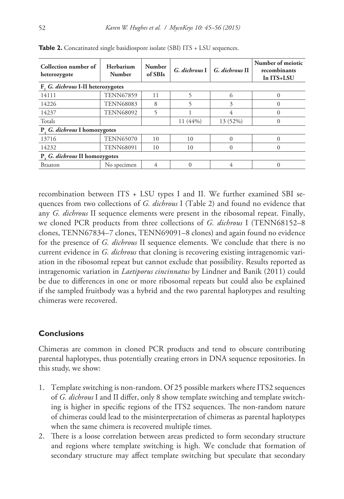| Collection number of<br>heterozygote | Herbarium<br><b>Number</b> | <b>Number</b><br>of SBIs | G. dichrous I | G. dichrous II | Number of meiotic<br>recombinants<br>In ITS+LSU |  |  |  |  |  |
|--------------------------------------|----------------------------|--------------------------|---------------|----------------|-------------------------------------------------|--|--|--|--|--|
| F. G. dichrous I-II heterozygotes    |                            |                          |               |                |                                                 |  |  |  |  |  |
| 14111                                | <b>TENN67859</b>           | 11                       | 5             | 6              |                                                 |  |  |  |  |  |
| 14226                                | <b>TENN68083</b>           | 8                        |               | 3              |                                                 |  |  |  |  |  |
| 14237                                | <b>TENN68092</b>           |                          |               | 4              |                                                 |  |  |  |  |  |
| Totals                               |                            |                          | 11 (44%)      | 13 (52%)       |                                                 |  |  |  |  |  |
| P. G. dichrous I homozygotes         |                            |                          |               |                |                                                 |  |  |  |  |  |
| 13716                                | <b>TENN65070</b>           | 10                       | 10            | $\Omega$       | $\Omega$                                        |  |  |  |  |  |
| 14232                                | <b>TENN68091</b>           | 10                       | 10            | $\theta$       |                                                 |  |  |  |  |  |
| P. G. dichrous II homozygotes        |                            |                          |               |                |                                                 |  |  |  |  |  |
| Braaton                              | No specimen                | 4                        | $\Omega$      | 4              |                                                 |  |  |  |  |  |

Table 2. Concatinated single basidiospore isolate (SBI) ITS + LSU sequences.

recombination between ITS + LSU types I and II. We further examined SBI sequences from two collections of *G. dichrous* I (Table 2) and found no evidence that any *G. dichrous* II sequence elements were present in the ribosomal repeat. Finally, we cloned PCR products from three collections of *G. dichrous* I (TENN68152–8 clones, TENN67834–7 clones, TENN69091–8 clones) and again found no evidence for the presence of *G. dichrous* II sequence elements. We conclude that there is no current evidence in *G. dichrous* that cloning is recovering existing intragenomic variation in the ribosomal repeat but cannot exclude that possibility. Results reported as intragenomic variation in *Laetiporus cincinnatus* by Lindner and Banik (2011) could be due to differences in one or more ribosomal repeats but could also be explained if the sampled fruitbody was a hybrid and the two parental haplotypes and resulting chimeras were recovered.

# **Conclusions**

Chimeras are common in cloned PCR products and tend to obscure contributing parental haplotypes, thus potentially creating errors in DNA sequence repositories. In this study, we show:

- 1. Template switching is non-random. Of 25 possible markers where ITS2 sequences of *G. dichrous* I and II differ, only 8 show template switching and template switching is higher in specific regions of the ITS2 sequences. The non-random nature of chimeras could lead to the misinterpretation of chimeras as parental haplotypes when the same chimera is recovered multiple times.
- 2. There is a loose correlation between areas predicted to form secondary structure and regions where template switching is high. We conclude that formation of secondary structure may affect template switching but speculate that secondary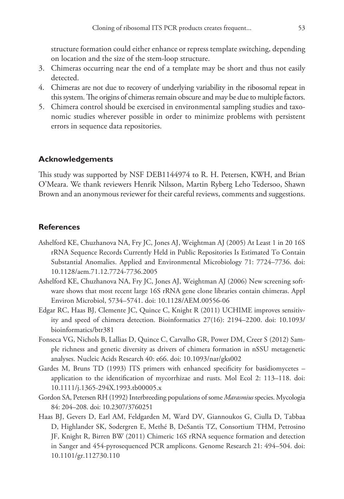structure formation could either enhance or repress template switching, depending on location and the size of the stem-loop structure.

- 3. Chimeras occurring near the end of a template may be short and thus not easily detected.
- 4. Chimeras are not due to recovery of underlying variability in the ribosomal repeat in this system. The origins of chimeras remain obscure and may be due to multiple factors.
- 5. Chimera control should be exercised in environmental sampling studies and taxonomic studies wherever possible in order to minimize problems with persistent errors in sequence data repositories.

# **Acknowledgements**

This study was supported by NSF DEB1144974 to R. H. Petersen, KWH, and Brian O'Meara. We thank reviewers Henrik Nilsson, Martin Ryberg Leho Tedersoo, Shawn Brown and an anonymous reviewer for their careful reviews, comments and suggestions.

## **References**

- Ashelford KE, Chuzhanova NA, Fry JC, Jones AJ, Weightman AJ (2005) At Least 1 in 20 16S rRNA Sequence Records Currently Held in Public Repositories Is Estimated To Contain Substantial Anomalies. Applied and Environmental Microbiology 71: 7724–7736. [doi:](http://dx.doi.org/10.1128/aem.71.12.7724-7736.2005) [10.1128/aem.71.12.7724-7736.2005](http://dx.doi.org/10.1128/aem.71.12.7724-7736.2005)
- Ashelford KE, Chuzhanova NA, Fry JC, Jones AJ, Weightman AJ (2006) New screening software shows that most recent large 16S rRNA gene clone libraries contain chimeras. Appl Environ Microbiol, 5734–5741. [doi: 10.1128/AEM.00556-06](http://dx.doi.org/10.1128/AEM.00556-06)
- Edgar RC, Haas BJ, Clemente JC, Quince C, Knight R (2011) UCHIME improves sensitivity and speed of chimera detection. Bioinformatics 27(16): 2194–2200. [doi: 10.1093/](http://dx.doi.org/10.1093/bioinformatics/btr381) [bioinformatics/btr381](http://dx.doi.org/10.1093/bioinformatics/btr381)
- Fonseca VG, Nichols B, Lallias D, Quince C, Carvalho GR, Power DM, Creer S (2012) Sample richness and genetic diversity as drivers of chimera formation in nSSU metagenetic analyses. Nucleic Acids Research 40: e66. [doi: 10.1093/nar/gks002](http://dx.doi.org/10.1093/nar/gks002)
- Gardes M, Bruns TD (1993) ITS primers with enhanced specificity for basidiomycetes application to the identification of mycorrhizae and rusts. Mol Ecol 2: 113–118. [doi:](http://dx.doi.org/10.1111/j.1365-294X.1993.tb00005.x) [10.1111/j.1365-294X.1993.tb00005.x](http://dx.doi.org/10.1111/j.1365-294X.1993.tb00005.x)
- Gordon SA, Petersen RH (1992) Interbreeding populations of some *Marasmius* species. Mycologia 84: 204–208. [doi: 10.2307/3760251](http://dx.doi.org/10.2307/3760251)
- Haas BJ, Gevers D, Earl AM, Feldgarden M, Ward DV, Giannoukos G, Ciulla D, Tabbaa D, Highlander SK, Sodergren E, Methé B, DeSantis TZ, Consortium THM, Petrosino JF, Knight R, Birren BW (2011) Chimeric 16S rRNA sequence formation and detection in Sanger and 454-pyrosequenced PCR amplicons. Genome Research 21: 494–504. [doi:](http://dx.doi.org/10.1101/gr.112730.110) [10.1101/gr.112730.110](http://dx.doi.org/10.1101/gr.112730.110)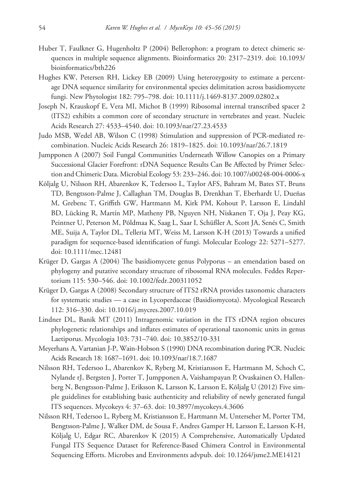- Huber T, Faulkner G, Hugenholtz P (2004) Bellerophon: a program to detect chimeric sequences in multiple sequence alignments. Bioinformatics 20: 2317–2319. [doi: 10.1093/](http://dx.doi.org/10.1093/bioinformatics/bth226) [bioinformatics/bth226](http://dx.doi.org/10.1093/bioinformatics/bth226)
- Hughes KW, Petersen RH, Lickey EB (2009) Using heterozygosity to estimate a percentage DNA sequence similarity for environmental species delimitation across basidiomycete fungi. New Phytologist 182: 795–798. [doi: 10.1111/j.1469-8137.2009.02802.x](http://dx.doi.org/10.1111/j.1469-8137.2009.02802.x)
- Joseph N, Krauskopf E, Vera MI, Michot B (1999) Ribosomal internal transcribed spacer 2 (ITS2) exhibits a common core of secondary structure in vertebrates and yeast. Nucleic Acids Research 27: 4533–4540. [doi: 10.1093/nar/27.23.4533](http://dx.doi.org/10.1093/nar/27.23.4533)
- Judo MSB, Wedel AB, Wilson C (1998) Stimulation and suppression of PCR-mediated recombination. Nucleic Acids Research 26: 1819–1825. [doi: 10.1093/nar/26.7.1819](http://dx.doi.org/10.1093/nar/26.7.1819)
- Jumpponen A (2007) Soil Fungal Communities Underneath Willow Canopies on a Primary Successional Glacier Forefront: rDNA Sequence Results Can Be Affected by Primer Selection and Chimeric Data. Microbial Ecology 53: 233–246. [doi: 10.1007/s00248-004-0006-x](http://dx.doi.org/10.1007/s00248-004-0006-x)
- Kõljalg U, Nilsson RH, Abarenkov K, Tedersoo L, Taylor AFS, Bahram M, Bates ST, Bruns TD, Bengtsson-Palme J, Callaghan TM, Douglas B, Drenkhan T, Eberhardt U, Dueñas M, Grebenc T, Griffith GW, Hartmann M, Kirk PM, Kohout P, Larsson E, Lindahl BD, Lücking R, Martín MP, Matheny PB, Nguyen NH, Niskanen T, Oja J, Peay KG, Peintner U, Peterson M, Põldmaa K, Saag L, Saar I, Schüßler A, Scott JA, Senés C, Smith ME, Suija A, Taylor DL, Telleria MT, Weiss M, Larsson K-H (2013) Towards a unified paradigm for sequence-based identification of fungi. Molecular Ecology 22: 5271–5277. [doi: 10.1111/mec.12481](http://dx.doi.org/10.1111/mec.12481)
- Krüger D, Gargas A (2004) The basidiomycete genus Polyporus an emendation based on phylogeny and putative secondary structure of ribosomal RNA molecules. Feddes Repertorium 115: 530–546. [doi: 10.1002/fedr.200311052](http://dx.doi.org/10.1002/fedr.200311052)
- Krüger D, Gargas A (2008) Secondary structure of ITS2 rRNA provides taxonomic characters for systematic studies — a case in Lycoperdaceae (Basidiomycota). Mycological Research 112: 316–330. [doi: 10.1016/j.mycres.2007.10.019](http://dx.doi.org/10.1016/j.mycres.2007.10.019)
- Lindner DL, Banik MT (2011) Intragenomic variation in the ITS rDNA region obscures phylogenetic relationships and inflates estimates of operational taxonomic units in genus Laetiporus. Mycologia 103: 731–740. [doi: 10.3852/10-331](http://dx.doi.org/10.3852/10-331)
- Meyerhans A, Vartanian J-P, Wain-Hobson S (1990) DNA recombination during PCR. Nucleic Acids Research 18: 1687–1691. [doi: 10.1093/nar/18.7.1687](http://dx.doi.org/10.1093/nar/18.7.1687)
- Nilsson RH, Tedersoo L, Abarenkov K, Ryberg M, Kristiansson E, Hartmann M, Schoch C, Nylande rJ, Bergsten J, Porter T, Jumpponen A, Vaishampayan P, Ovaskainen O, Hallenberg N, Bengtsson-Palme J, Eriksson K, Larsson K, Larsson E, Kõljalg U (2012) Five simple guidelines for establishing basic authenticity and reliability of newly generated fungal ITS sequences. Mycokeys 4: 37–63. [doi: 10.3897/mycokeys.4.3606](http://dx.doi.org/10.3897/mycokeys.4.3606)
- Nilsson RH, Tedersoo L, Ryberg M, Kristiansson E, Hartmann M, Unterseher M, Porter TM, Bengtsson-Palme J, Walker DM, de Sousa F, Andres Gamper H, Larsson E, Larsson K-H, Kõljalg U, Edgar RC, Abarenkov K (2015) A Comprehensive, Automatically Updated Fungal ITS Sequence Dataset for Reference-Based Chimera Control in Environmental Sequencing Efforts. Microbes and Environments advpub. [doi: 10.1264/jsme2.ME14121](http://dx.doi.org/10.1264/jsme2.ME14121)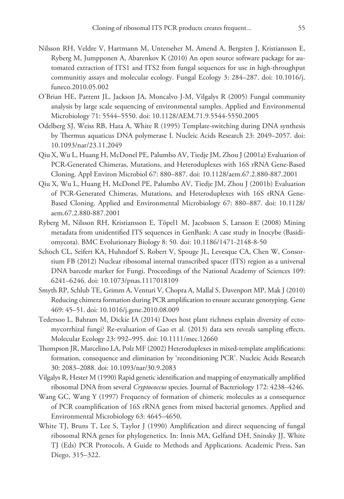- Nilsson RH, Veldre V, Hartmann M, Unterseher M, Amend A, Bergsten J, Kristiansson E, Ryberg M, Jumpponen A, Abarenkov K (2010) An open source software package for automated extraction of ITS1 and ITS2 from fungal sequences for use in high-throughput communitiy assays and molecular ecology. Fungal Ecology 3: 284–287. [doi: 10.1016/j.](http://dx.doi.org/10.1016/j.funeco.2010.05.002) [funeco.2010.05.002](http://dx.doi.org/10.1016/j.funeco.2010.05.002)
- O'Brian HE, Parrent JL, Jackson JA, Moncalvo J-M, Vilgalys R (2005) Fungal community analysis by large scale sequencing of environmental samples. Applied and Environmental Microbiology 71: 5544–5550. [doi: 10.1128/AEM.71.9.5544-5550.2005](http://dx.doi.org/10.1128/AEM.71.9.5544-5550.2005)
- Odelberg SJ, Weiss RB, Hata A, White R (1995) Template-switching during DNA synthesis by Thermus aquaticus DNA polymerase I. Nucleic Acids Research 23: 2049–2057. [doi:](http://dx.doi.org/10.1093/nar/23.11.2049) [10.1093/nar/23.11.2049](http://dx.doi.org/10.1093/nar/23.11.2049)
- Qiu X, Wu L, Huang H, McDonel PE, Palumbo AV, Tiedje JM, Zhou J (2001a) Evaluation of PCR-Generated Chimeras, Mutations, and Heteroduplexes with 16S rRNA Gene-Based Cloning. Appl Environ Microbiol 67: 880–887. [doi: 10.1128/aem.67.2.880-887.2001](http://dx.doi.org/10.1128/aem.67.2.880-887.2001)
- Qiu X, Wu L, Huang H, McDonel PE, Palumbo AV, Tiedje JM, Zhou J (2001b) Evaluation of PCR-Generated Chimeras, Mutations, and Heteroduplexes with 16S rRNA Gene-Based Cloning. Applied and Environmental Microbiology 67: 880–887. [doi: 10.1128/](http://dx.doi.org/10.1128/aem.67.2.880-887.2001) [aem.67.2.880-887.2001](http://dx.doi.org/10.1128/aem.67.2.880-887.2001)
- Ryberg M, Nilsson RH, Kristiansson E, Töpel1 M, Jacobsson S, Larsson E (2008) Mining metadata from unidentified ITS sequences in GenBank: A case study in Inocybe (Basidiomycota). BMC Evolutionary Biology 8: 50. [doi: 10.1186/1471-2148-8-50](http://dx.doi.org/10.1186/1471-2148-8-50)
- Schoch CL, Seifert KA, Huhndorf S, Robert V, Spouge JL, Levesque CA, Chen W, Consortium FB (2012) Nuclear ribosomal internal transcribed spacer (ITS) region as a universal DNA barcode marker for Fungi. Proceedings of the National Academy of Sciences 109: 6241–6246. [doi: 10.1073/pnas.1117018109](http://dx.doi.org/10.1073/pnas.1117018109)
- Smyth RP, Schlub TE, Grimm A, Venturi V, Chopra A, Mallal S, Davenport MP, Mak J (2010) Reducing chimera formation during PCR amplification to ensure accurate genotyping. Gene 469: 45–51. [doi: 10.1016/j.gene.2010.08.009](http://dx.doi.org/10.1016/j.gene.2010.08.009)
- Tedersoo L, Bahram M, Dickie IA (2014) Does host plant richness explain diversity of ectomycorrhizal fungi? Re-evaluation of Gao et al. (2013) data sets reveals sampling effects. Molecular Ecology 23: 992–995. [doi: 10.1111/mec.12660](http://dx.doi.org/10.1111/mec.12660)
- Thompson JR, Marcelino LA, Polz MF (2002) Heteroduplexes in mixed-template amplifications: formation, consequence and elimination by 'reconditioning PCR'. Nucleic Acids Research 30: 2083–2088. [doi: 10.1093/nar/30.9.2083](http://dx.doi.org/10.1093/nar/30.9.2083)
- Vilgalys R, Hester M (1990) Rapid genetic identification and mapping of enzymatically amplified ribosomal DNA from several *Cryptococcus* species. Journal of Bacteriology 172: 4238–4246.
- Wang GC, Wang Y (1997) Frequency of formation of chimeric molecules as a consequence of PCR coamplification of 16S rRNA genes from mixed bacterial genomes. Applied and Environmental Microbiology 63: 4645–4650.
- White TJ, Bruns T, Lee S, Taylor J (1990) Amplification and direct sequencing of fungal ribosomal RNA genes for phylogenetics. In: Innis MA, Gelfand DH, Sninsky JJ, White TJ (Eds) PCR Protocols, A Guide to Methods and Applications. Academic Press, San Diego, 315–322.